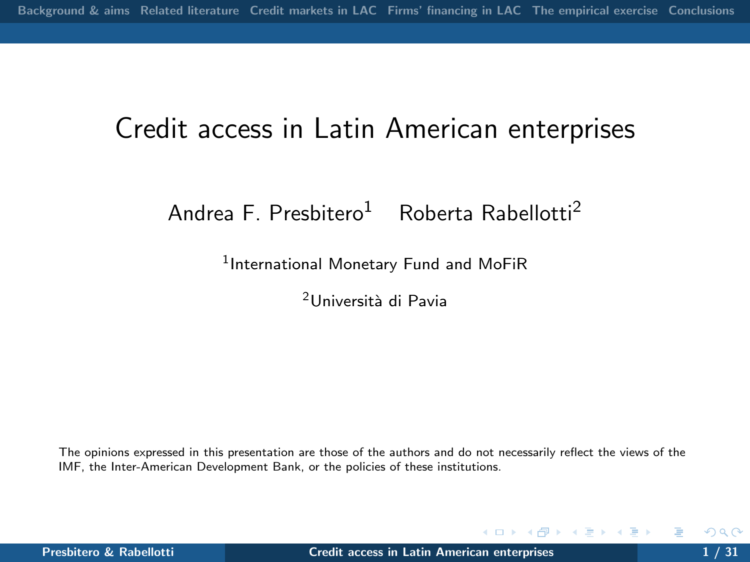## Credit access in Latin American enterprises

Andrea F. Presbitero<sup>1</sup> Roberta Rabellotti<sup>2</sup>

 $^1$ International Monetary Fund and MoFiR

<sup>2</sup>Universit`a di Pavia

The opinions expressed in this presentation are those of the authors and do not necessarily reflect the views of the IMF, the Inter-American Development Bank, or the policies of these institutions.

<span id="page-0-0"></span>**K ロ ▶ K 伊 ▶ K**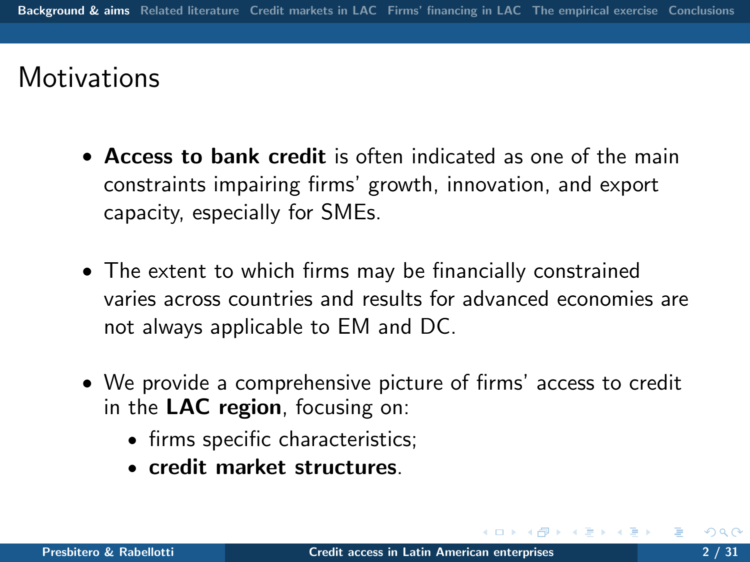## **Motivations**

- Access to bank credit is often indicated as one of the main constraints impairing firms' growth, innovation, and export capacity, especially for SMEs.
- The extent to which firms may be financially constrained varies across countries and results for advanced economies are not always applicable to EM and DC.
- <span id="page-1-0"></span>• We provide a comprehensive picture of firms' access to credit in the LAC region, focusing on:
	- firms specific characteristics;
	- credit market structures.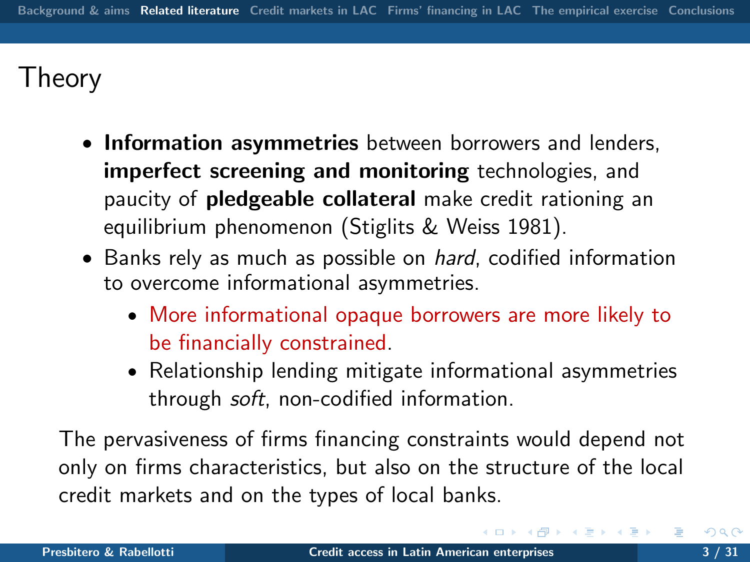# Theory

- Information asymmetries between borrowers and lenders, imperfect screening and monitoring technologies, and paucity of pledgeable collateral make credit rationing an equilibrium phenomenon (Stiglits & Weiss 1981).
- Banks rely as much as possible on *hard*, codified information to overcome informational asymmetries.
	- More informational opaque borrowers are more likely to be financially constrained.
	- Relationship lending mitigate informational asymmetries through soft, non-codified information.

<span id="page-2-0"></span>The pervasiveness of firms financing constraints would depend not only on firms characteristics, but also on the structure of the local credit markets and on the types of local banks.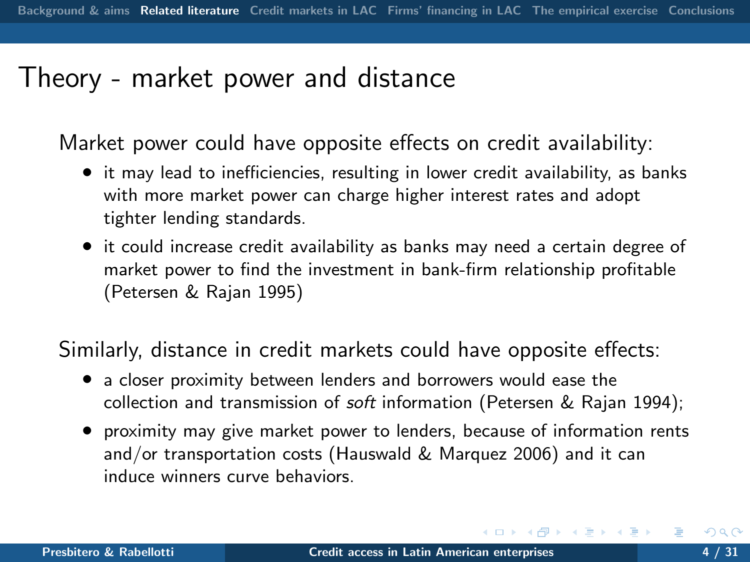### Theory - market power and distance

Market power could have opposite effects on credit availability:

- it may lead to inefficiencies, resulting in lower credit availability, as banks with more market power can charge higher interest rates and adopt tighter lending standards.
- it could increase credit availability as banks may need a certain degree of market power to find the investment in bank-firm relationship profitable (Petersen & Rajan 1995)

Similarly, distance in credit markets could have opposite effects:

- a closer proximity between lenders and borrowers would ease the collection and transmission of soft information (Petersen & Rajan 1994);
- proximity may give market power to lenders, because of information rents and/or transportation costs (Hauswald & Marquez 2006) and it can induce winners curve behaviors.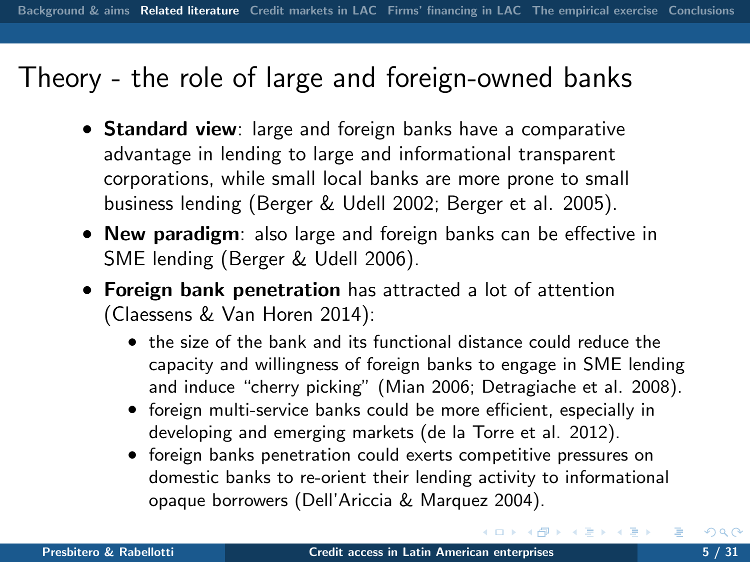### Theory - the role of large and foreign-owned banks

- Standard view: large and foreign banks have a comparative advantage in lending to large and informational transparent corporations, while small local banks are more prone to small business lending (Berger & Udell 2002; Berger et al. 2005).
- New paradigm: also large and foreign banks can be effective in SME lending (Berger & Udell 2006).
- Foreign bank penetration has attracted a lot of attention (Claessens & Van Horen 2014):
	- the size of the bank and its functional distance could reduce the capacity and willingness of foreign banks to engage in SME lending and induce "cherry picking" (Mian 2006; Detragiache et al. 2008).
	- foreign multi-service banks could be more efficient, especially in developing and emerging markets (de la Torre et al. 2012).
	- foreign banks penetration could exerts competitive pressures on domestic banks to re-orient their lending activity to informational opaque borrowers (Dell'Ariccia & Marquez 2004).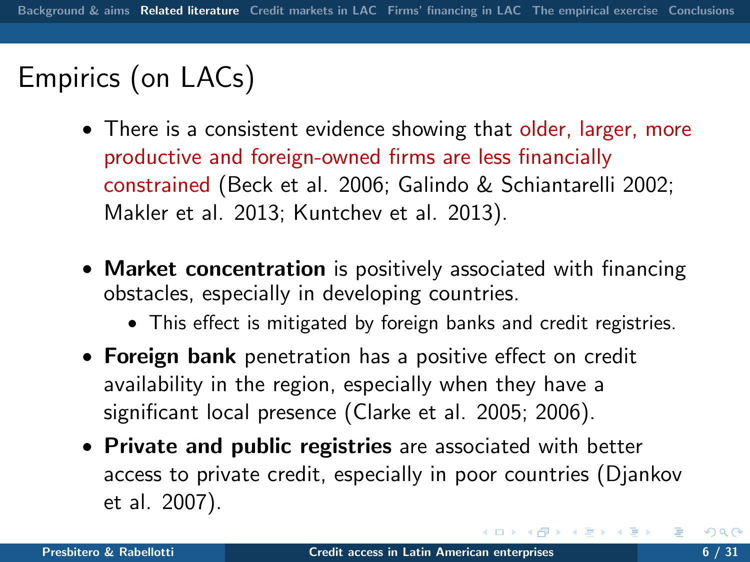# Empirics (on LACs)

- There is a consistent evidence showing that older, larger, more productive and foreign-owned firms are less financially constrained (Beck et al. 2006; Galindo & Schiantarelli 2002; Makler et al. 2013; Kuntchev et al. 2013).
- Market concentration is positively associated with financing obstacles, especially in developing countries.
	- This effect is mitigated by foreign banks and credit registries.
- Foreign bank penetration has a positive effect on credit availability in the region, especially when they have a significant local presence (Clarke et al. 2005; 2006).
- Private and public registries are associated with better access to private credit, especially in poor countries (Djankov et al. 2007).

医间周的 间面的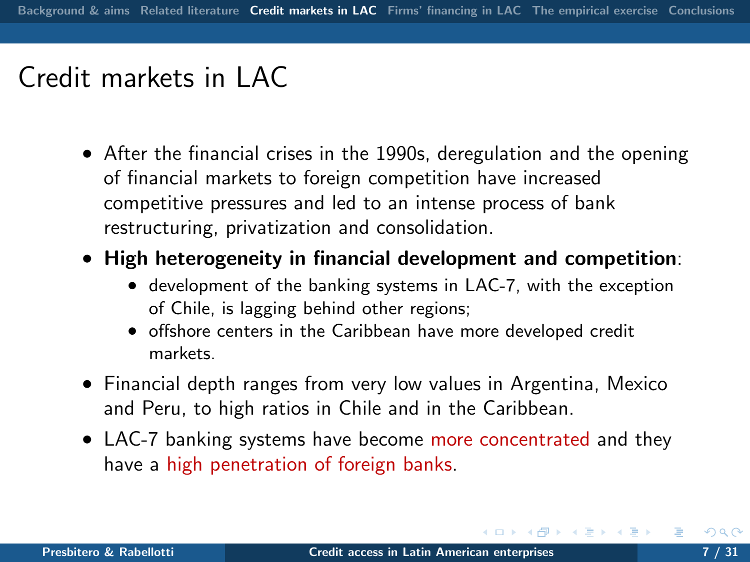## Credit markets in LAC

- After the financial crises in the 1990s, deregulation and the opening of financial markets to foreign competition have increased competitive pressures and led to an intense process of bank restructuring, privatization and consolidation.
- High heterogeneity in financial development and competition:
	- development of the banking systems in LAC-7, with the exception of Chile, is lagging behind other regions;
	- offshore centers in the Caribbean have more developed credit markets.
- Financial depth ranges from very low values in Argentina, Mexico and Peru, to high ratios in Chile and in the Caribbean.
- <span id="page-6-0"></span>• LAC-7 banking systems have become more concentrated and they have a high penetration of foreign banks.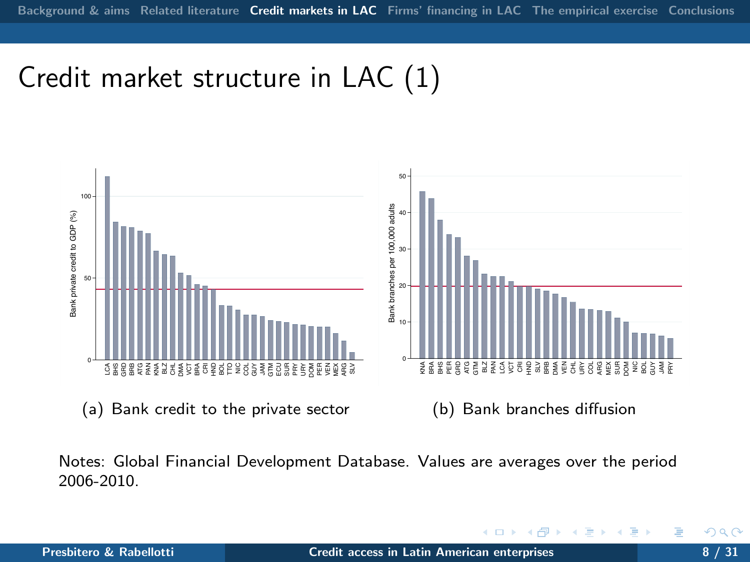# Credit market structure in LAC (1)



(a) Bank credit to the private sector

(b) Bank branches diffusion

 $\leftarrow$ 

Notes: Global Financial Development Database. Values are averages over the period 2006-2010.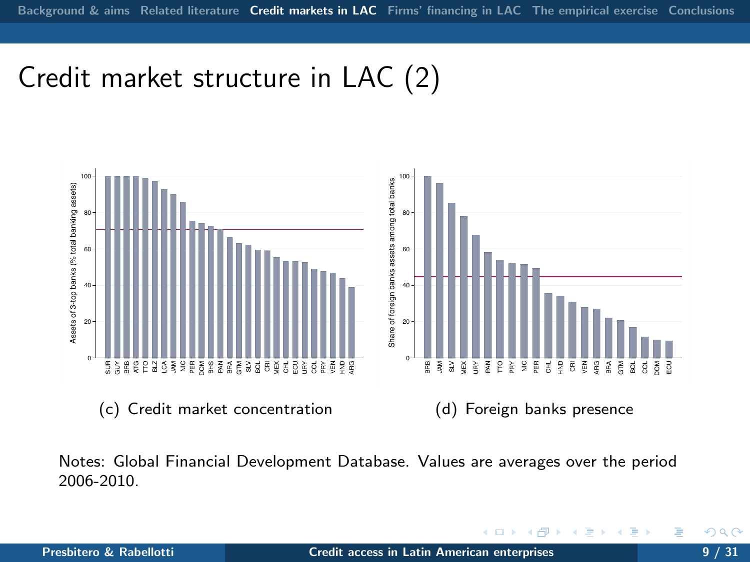## Credit market structure in LAC (2)



Notes: Global Financial Development Database. Values are averages over the period 2006-2010.

4日)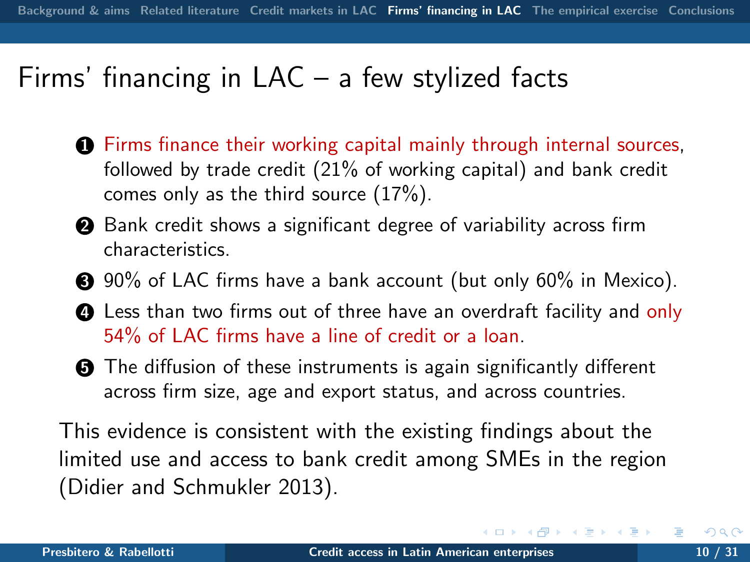## Firms' financing in LAC – a few stylized facts

- **1** Firms finance their working capital mainly through internal sources, followed by trade credit (21% of working capital) and bank credit comes only as the third source (17%).
- **2** Bank credit shows a significant degree of variability across firm characteristics.
- **3** 90% of LAC firms have a bank account (but only 60% in Mexico).
- **4** Less than two firms out of three have an overdraft facility and only 54% of LAC firms have a line of credit or a loan.
- **6** The diffusion of these instruments is again significantly different across firm size, age and export status, and across countries.

This evidence is consistent with the existing findings about the limited use and access to bank credit among SMEs in the region (Didier and Schmukler 2013).

<span id="page-9-0"></span>∢ ロ ▶ ( 伊 ) ( ミ ) ( ミ )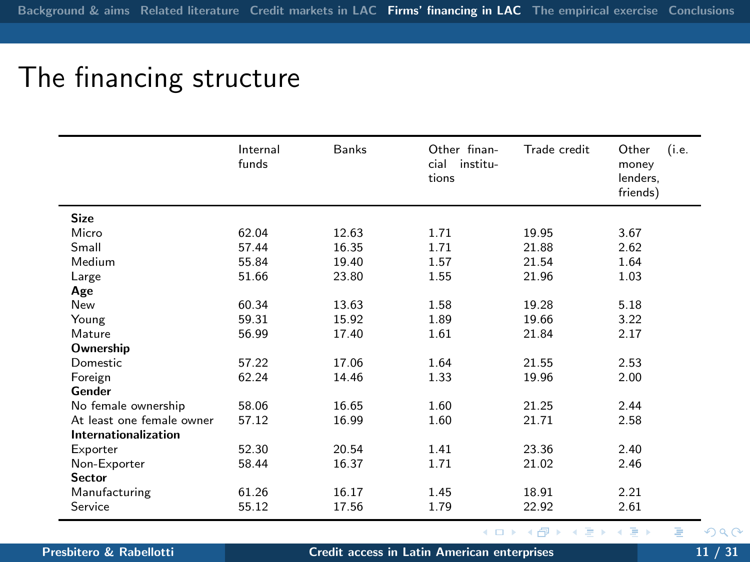# The financing structure

|                             | Internal<br>funds | Banks | Other finan-<br>cial institu-<br>tions | Trade credit | (i.e.<br>Other<br>money<br>lenders,<br>friends) |
|-----------------------------|-------------------|-------|----------------------------------------|--------------|-------------------------------------------------|
| <b>Size</b>                 |                   |       |                                        |              |                                                 |
| Micro                       | 62.04             | 12.63 | 1.71                                   | 19.95        | 3.67                                            |
| Small                       | 57.44             | 16.35 | 1.71                                   | 21.88        | 2.62                                            |
| Medium                      | 55.84             | 19.40 | 1.57                                   | 21.54        | 1.64                                            |
| Large                       | 51.66             | 23.80 | 1.55                                   | 21.96        | 1.03                                            |
| Age                         |                   |       |                                        |              |                                                 |
| New                         | 60.34             | 13.63 | 1.58                                   | 19.28        | 5.18                                            |
| Young                       | 59.31             | 15.92 | 1.89                                   | 19.66        | 3.22                                            |
| Mature                      | 56.99             | 17.40 | 1.61                                   | 21.84        | 2.17                                            |
| Ownership                   |                   |       |                                        |              |                                                 |
| Domestic                    | 57.22             | 17.06 | 1.64                                   | 21.55        | 2.53                                            |
| Foreign                     | 62.24             | 14.46 | 1.33                                   | 19.96        | 2.00                                            |
| Gender                      |                   |       |                                        |              |                                                 |
| No female ownership         | 58.06             | 16.65 | 1.60                                   | 21.25        | 2.44                                            |
| At least one female owner   | 57.12             | 16.99 | 1.60                                   | 21.71        | 2.58                                            |
| <b>Internationalization</b> |                   |       |                                        |              |                                                 |
| Exporter                    | 52.30             | 20.54 | 1.41                                   | 23.36        | 2.40                                            |
| Non-Exporter                | 58.44             | 16.37 | 1.71                                   | 21.02        | 2.46                                            |
| Sector                      |                   |       |                                        |              |                                                 |
| Manufacturing               | 61.26             | 16.17 | 1.45                                   | 18.91        | 2.21                                            |
| Service                     | 55.12             | 17.56 | 1.79                                   | 22.92        | 2.61                                            |

Presbitero & Rabellotti **[Credit access in Latin American enterprises](#page-0-0)** 11 / 31 / 31

4 0 8

∍

一 (三)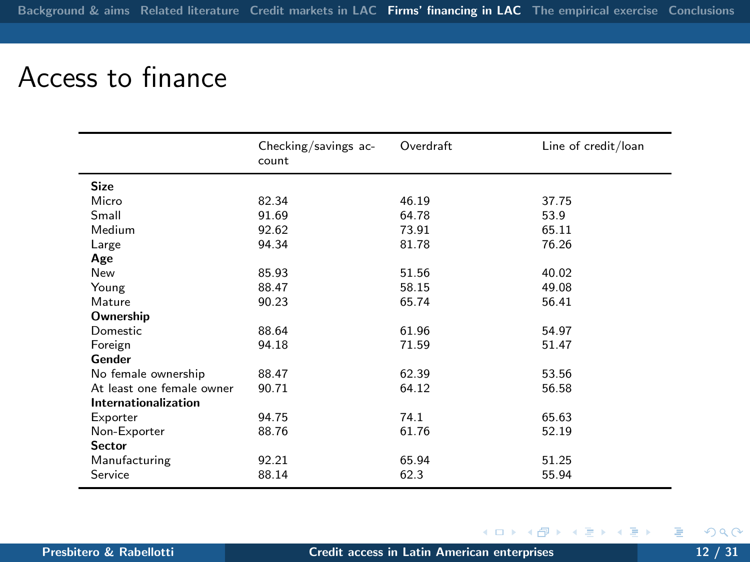## Access to finance

|                             | Checking/savings ac-<br>count | Overdraft | Line of credit/loan |
|-----------------------------|-------------------------------|-----------|---------------------|
| <b>Size</b>                 |                               |           |                     |
| Micro                       | 82.34                         | 46.19     | 37.75               |
| Small                       | 91.69                         | 64.78     | 53.9                |
| Medium                      | 92.62                         | 73.91     | 65.11               |
| Large                       | 94.34                         | 81.78     | 76.26               |
| Age                         |                               |           |                     |
| New                         | 85.93                         | 51.56     | 40.02               |
| Young                       | 88.47                         | 58.15     | 49.08               |
| Mature                      | 90.23                         | 65.74     | 56.41               |
| Ownership                   |                               |           |                     |
| Domestic                    | 88.64                         | 61.96     | 54.97               |
| Foreign                     | 94.18                         | 71.59     | 51.47               |
| Gender                      |                               |           |                     |
| No female ownership         | 88.47                         | 62.39     | 53.56               |
| At least one female owner   | 90.71                         | 64.12     | 56.58               |
| <b>Internationalization</b> |                               |           |                     |
| Exporter                    | 94.75                         | 74.1      | 65.63               |
| Non-Exporter                | 88.76                         | 61.76     | 52.19               |
| <b>Sector</b>               |                               |           |                     |
| Manufacturing               | 92.21                         | 65.94     | 51.25               |
| Service                     | 88.14                         | 62.3      | 55.94               |

4. 0. 3. 4.

Þ

 $\mathbb{B} \rightarrow \mathbb{R} \oplus \mathbb{R}$ 

4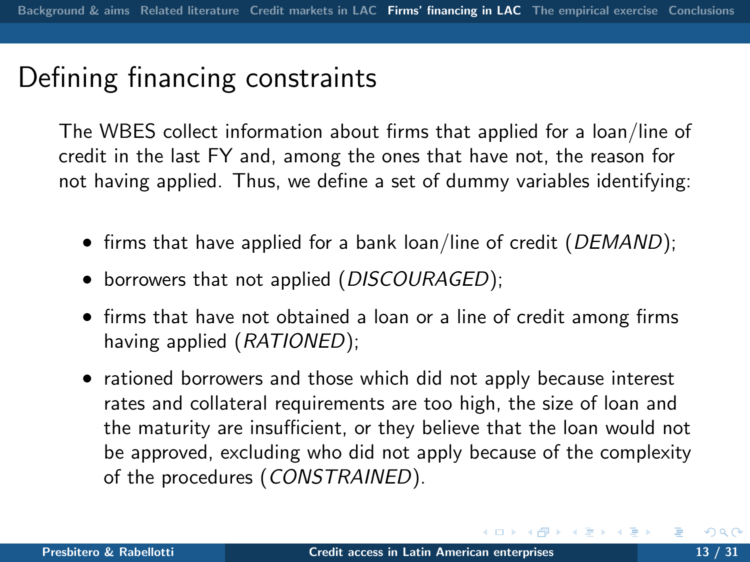## Defining financing constraints

The WBES collect information about firms that applied for a loan/line of credit in the last FY and, among the ones that have not, the reason for not having applied. Thus, we define a set of dummy variables identifying:

- firms that have applied for a bank loan/line of credit (*DEMAND*);
- borrowers that not applied (*DISCOURAGED*);
- firms that have not obtained a loan or a line of credit among firms having applied (RATIONED);
- rationed borrowers and those which did not apply because interest rates and collateral requirements are too high, the size of loan and the maturity are insufficient, or they believe that the loan would not be approved, excluding who did not apply because of the complexity of the procedures (CONSTRAINED).

→ イヨ → イヨ →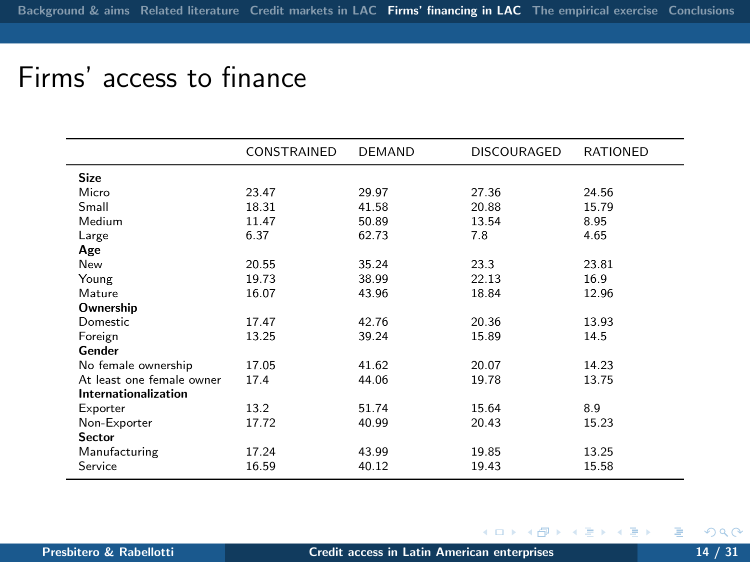### Firms' access to finance

|                           | CONSTRAINED | <b>DEMAND</b> | <b>DISCOURAGED</b> | <b>RATIONED</b> |
|---------------------------|-------------|---------------|--------------------|-----------------|
| <b>Size</b>               |             |               |                    |                 |
| Micro                     | 23.47       | 29.97         | 27.36              | 24.56           |
| Small                     | 18.31       | 41.58         | 20.88              | 15.79           |
| Medium                    | 11.47       | 50.89         | 13.54              | 8.95            |
| Large                     | 6.37        | 62.73         | 7.8                | 4.65            |
| Age                       |             |               |                    |                 |
| New                       | 20.55       | 35.24         | 23.3               | 23.81           |
| Young                     | 19.73       | 38.99         | 22.13              | 16.9            |
| Mature                    | 16.07       | 43.96         | 18.84              | 12.96           |
| Ownership                 |             |               |                    |                 |
| Domestic                  | 17.47       | 42.76         | 20.36              | 13.93           |
| Foreign                   | 13.25       | 39.24         | 15.89              | 14.5            |
| Gender                    |             |               |                    |                 |
| No female ownership       | 17.05       | 41.62         | 20.07              | 14.23           |
| At least one female owner | 17.4        | 44.06         | 19.78              | 13.75           |
| Internationalization      |             |               |                    |                 |
| Exporter                  | 13.2        | 51.74         | 15.64              | 8.9             |
| Non-Exporter              | 17.72       | 40.99         | 20.43              | 15.23           |
| Sector                    |             |               |                    |                 |
| Manufacturing             | 17.24       | 43.99         | 19.85              | 13.25           |
| Service                   | 16.59       | 40.12         | 19.43              | 15.58           |
|                           |             |               |                    |                 |

◆ ロ ▶ → 伊

化重复 化重变

э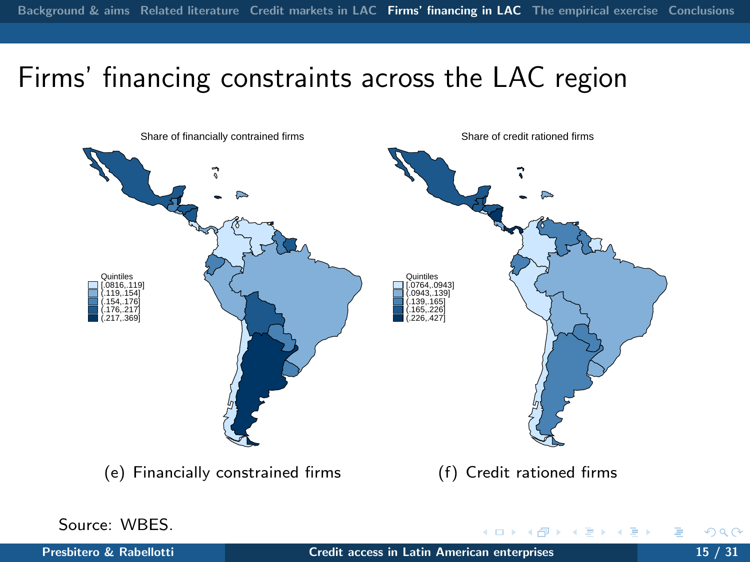# Firms' financing constraints across the LAC region

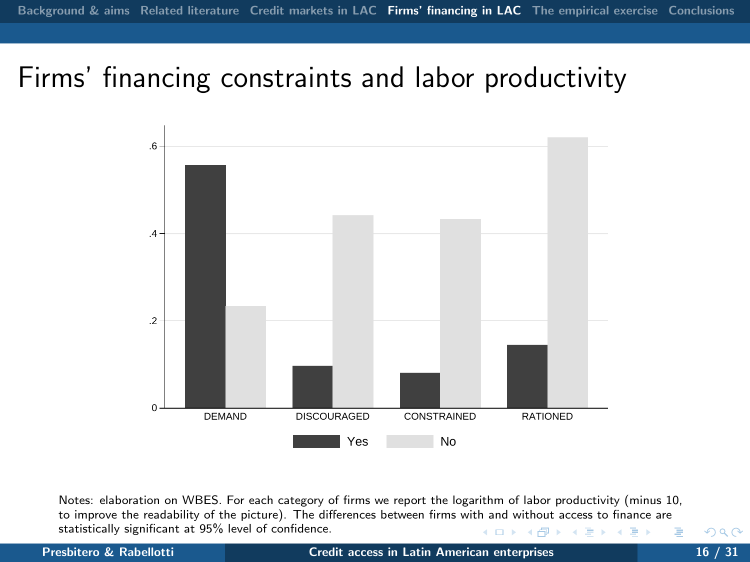## Firms' financing constraints and labor productivity



Notes: elaboration on WBES. For each category of firms we report the logarithm of labor productivity (minus 10, to improve the readability of the picture). The differences between firms with and without access to finance are statistically significant at 95% level of confidence.  $\mathbb{R}^d \times \mathbb{R}^d \xrightarrow{\mathbb{R}^d} \mathbb{R}^d \times \mathbb{R}^d \xrightarrow{\mathbb{R}^d} \mathbb{R}^d$ **∢ ロ ▶ - ← 伊** 

#### Presbitero & Rabellotti and [Credit access in Latin American enterprises](#page-0-0) 16 / 31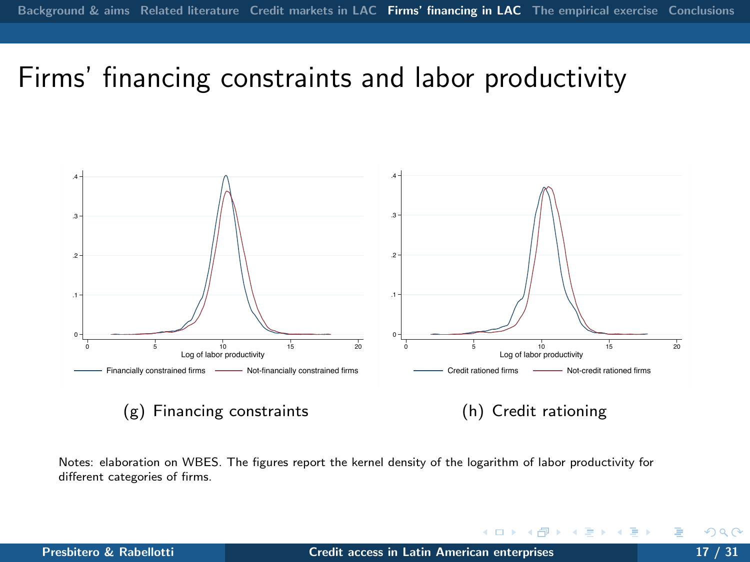### Firms' financing constraints and labor productivity



 $(g)$  Financing constraints

(h) Credit rationing

**← ロ ▶ → r 同** 

Notes: elaboration on WBES. The figures report the kernel density of the logarithm of labor productivity for different categories of firms.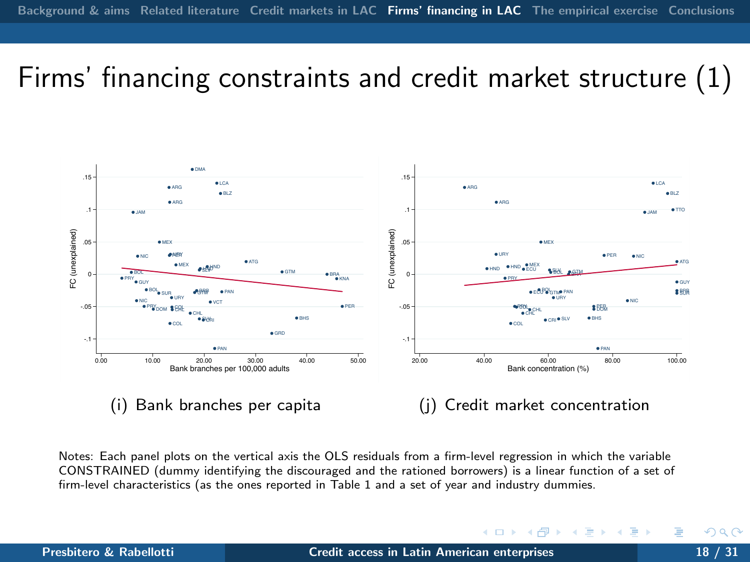## Firms' financing constraints and credit market structure (1)



Notes: Each panel plots on the vertical axis the OLS residuals from a firm-level regression in which the variable CONSTRAINED (dummy identifying the discouraged and the rationed borrowers) is a linear function of a set of firm-level characteristics (as the ones reported in Table 1 and a set of year and industry dummies.

4日 ト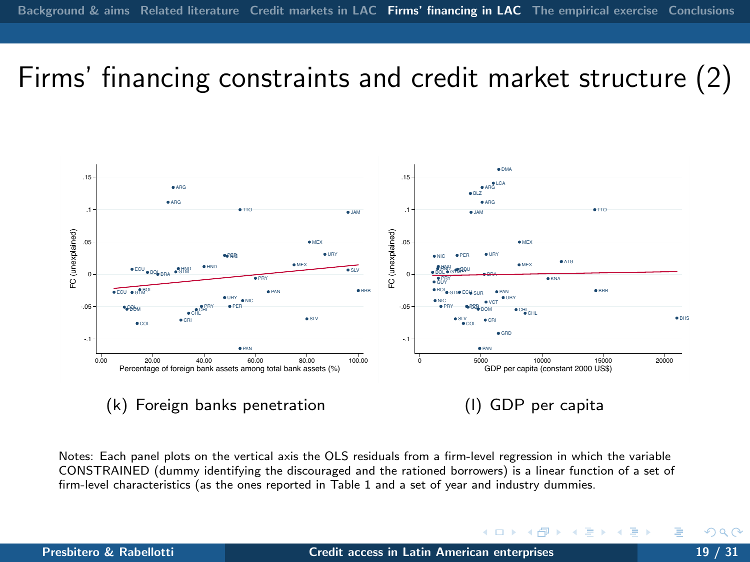## Firms' financing constraints and credit market structure (2)



Notes: Each panel plots on the vertical axis the OLS residuals from a firm-level regression in which the variable CONSTRAINED (dummy identifying the discouraged and the rationed borrowers) is a linear function of a set of firm-level characteristics (as the ones reported in Table 1 and a set of year and industry dummies.

<span id="page-18-0"></span>4日 ト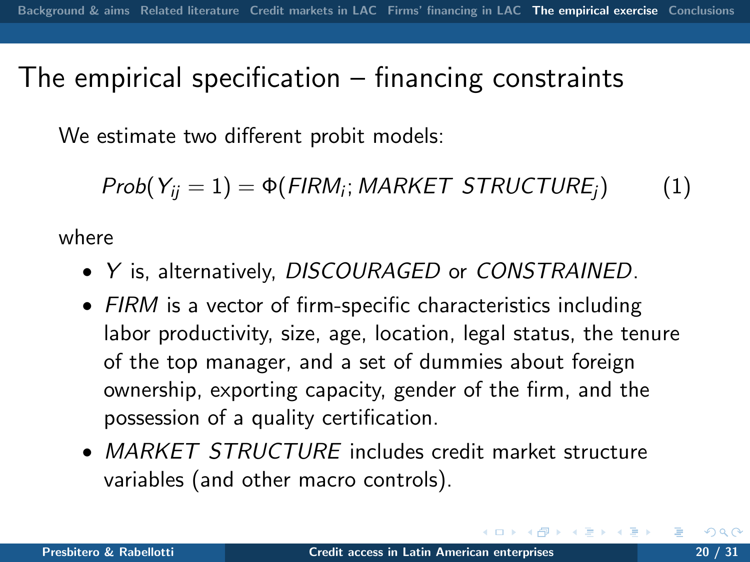### The empirical specification – financing constraints

We estimate two different probit models:

$$
Prob(Y_{ij} = 1) = \Phi(FIRM_i; MARKET STRUCTURE_j)
$$
 (1)

where

- Y is, alternatively, DISCOURAGED or CONSTRAINED.
- FIRM is a vector of firm-specific characteristics including labor productivity, size, age, location, legal status, the tenure of the top manager, and a set of dummies about foreign ownership, exporting capacity, gender of the firm, and the possession of a quality certification.
- <span id="page-19-0"></span>• MARKET STRUCTURE includes credit market structure variables (and other macro controls).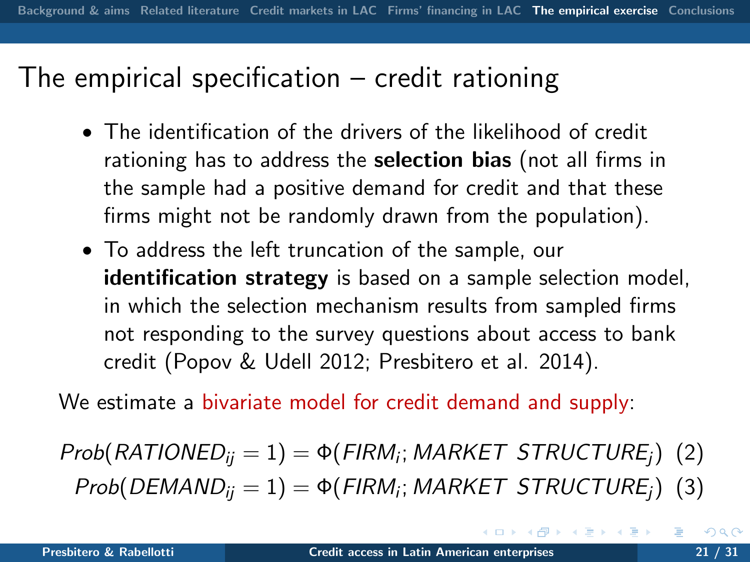### The empirical specification – credit rationing

- The identification of the drivers of the likelihood of credit rationing has to address the **selection bias** (not all firms in the sample had a positive demand for credit and that these firms might not be randomly drawn from the population).
- To address the left truncation of the sample, our identification strategy is based on a sample selection model, in which the selection mechanism results from sampled firms not responding to the survey questions about access to bank credit (Popov & Udell 2012; Presbitero et al. 2014).

We estimate a bivariate model for credit demand and supply:

Prob $(RATIONED_{ij} = 1) = \Phi(FIRM_i; MARKET STRUCTURE_j)$  (2)  $Prob(DEMAND_{ij} = 1) = \Phi(FIRM_{i}; MARKET STRUCTURE_{j})$  (3)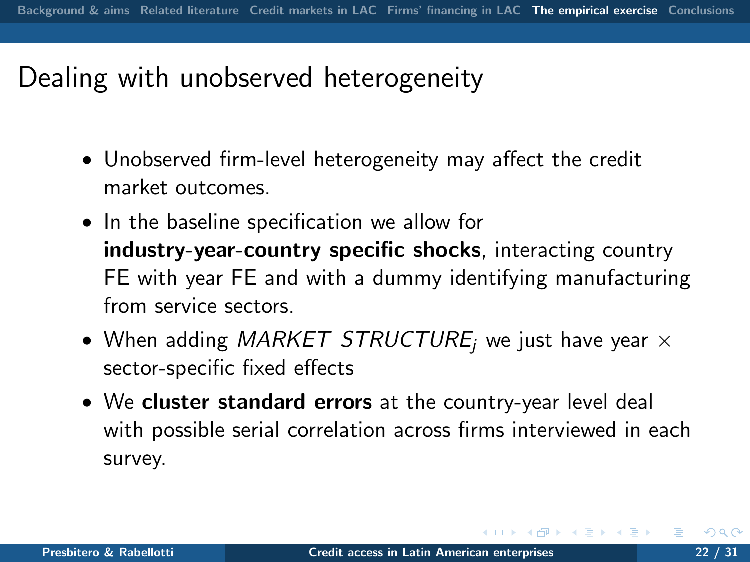## Dealing with unobserved heterogeneity

- Unobserved firm-level heterogeneity may affect the credit market outcomes.
- In the baseline specification we allow for industry-year-country specific shocks, interacting country FE with year FE and with a dummy identifying manufacturing from service sectors.
- When adding MARKET STRUCTURE; we just have year  $\times$ sector-specific fixed effects
- We cluster standard errors at the country-year level deal with possible serial correlation across firms interviewed in each survey.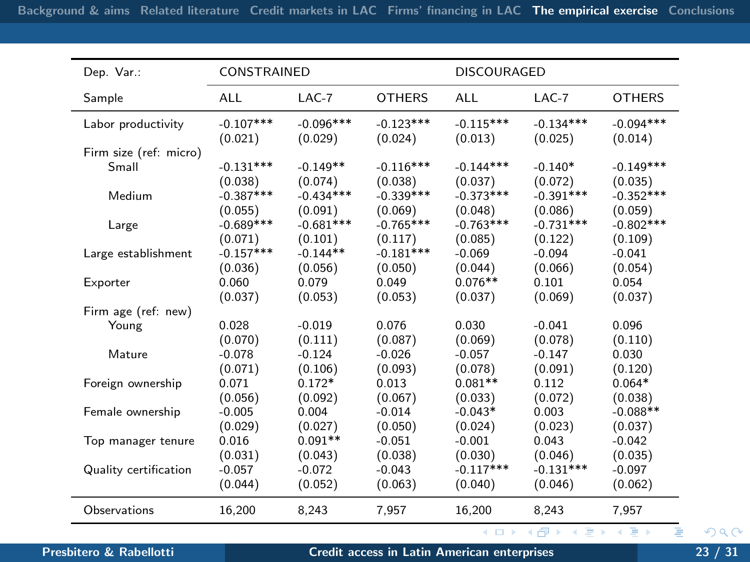| Dep. Var.:                      | CONSTRAINED |             |               | <b>DISCOURAGED</b> |             |               |
|---------------------------------|-------------|-------------|---------------|--------------------|-------------|---------------|
| Sample                          | <b>ALL</b>  | $LAC-7$     | <b>OTHERS</b> | <b>ALL</b>         | $LAC-7$     | <b>OTHERS</b> |
| Labor productivity              | $-0.107***$ | $-0.096***$ | $-0.123***$   | $-0.115***$        | $-0.134***$ | $-0.094***$   |
|                                 | (0.021)     | (0.029)     | (0.024)       | (0.013)            | (0.025)     | (0.014)       |
| Firm size (ref: micro)<br>Small | $-0.131***$ | $-0.149**$  | $-0.116***$   | $-0.144***$        | $-0.140*$   | $-0.149***$   |
| Medium                          | (0.038)     | (0.074)     | (0.038)       | (0.037)            | (0.072)     | (0.035)       |
|                                 | $-0.387***$ | $-0.434***$ | $-0.339***$   | $-0.373***$        | $-0.391***$ | $-0.352***$   |
|                                 | (0.055)     | (0.091)     | (0.069)       | (0.048)            | (0.086)     | (0.059)       |
| Large                           | $-0.689***$ | $-0.681***$ | $-0.765***$   | $-0.763***$        | $-0.731***$ | $-0.802***$   |
|                                 | (0.071)     | (0.101)     | (0.117)       | (0.085)            | (0.122)     | (0.109)       |
| Large establishment             | $-0.157***$ | $-0.144**$  | $-0.181***$   | $-0.069$           | $-0.094$    | $-0.041$      |
|                                 | (0.036)     | (0.056)     | (0.050)       | (0.044)            | (0.066)     | (0.054)       |
| Exporter                        | 0.060       | 0.079       | 0.049         | $0.076**$          | 0.101       | 0.054         |
|                                 | (0.037)     | (0.053)     | (0.053)       | (0.037)            | (0.069)     | (0.037)       |
| Firm age (ref: new)             |             |             |               |                    |             |               |
| Young                           | 0.028       | $-0.019$    | 0.076         | 0.030              | $-0.041$    | 0.096         |
|                                 | (0.070)     | (0.111)     | (0.087)       | (0.069)            | (0.078)     | (0.110)       |
| Mature                          | $-0.078$    | $-0.124$    | $-0.026$      | $-0.057$           | $-0.147$    | 0.030         |
|                                 | (0.071)     | (0.106)     | (0.093)       | (0.078)            | (0.091)     | (0.120)       |
| Foreign ownership               | 0.071       | $0.172*$    | 0.013         | $0.081**$          | 0.112       | $0.064*$      |
|                                 | (0.056)     | (0.092)     | (0.067)       | (0.033)            | (0.072)     | (0.038)       |
| Female ownership                | $-0.005$    | 0.004       | $-0.014$      | $-0.043*$          | 0.003       | $-0.088**$    |
|                                 | (0.029)     | (0.027)     | (0.050)       | (0.024)            | (0.023)     | (0.037)       |
| Top manager tenure              | 0.016       | $0.091**$   | $-0.051$      | $-0.001$           | 0.043       | $-0.042$      |
|                                 | (0.031)     | (0.043)     | (0.038)       | (0.030)            | (0.046)     | (0.035)       |
| Quality certification           | $-0.057$    | $-0.072$    | $-0.043$      | $-0.117***$        | $-0.131***$ | $-0.097$      |
|                                 | (0.044)     | (0.052)     | (0.063)       | (0.040)            | (0.046)     | (0.062)       |
| Observations                    | 16,200      | 8,243       | 7.957         | 16,200             | 8.243       | 7.957         |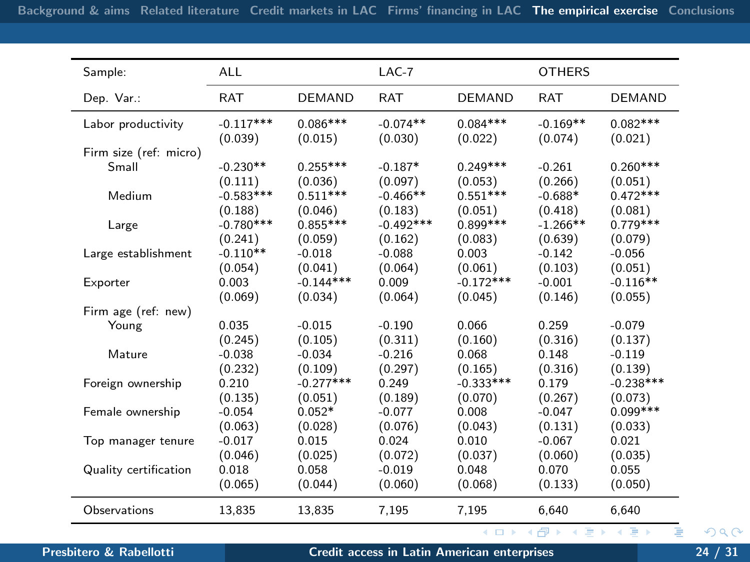<span id="page-23-0"></span>

| Sample:                | <b>ALL</b>  |               | $LAC-7$     |               | <b>OTHERS</b> |               |
|------------------------|-------------|---------------|-------------|---------------|---------------|---------------|
| Dep. Var.:             | <b>RAT</b>  | <b>DEMAND</b> | <b>RAT</b>  | <b>DEMAND</b> | <b>RAT</b>    | <b>DEMAND</b> |
| Labor productivity     | $-0.117***$ | $0.086***$    | $-0.074**$  | $0.084***$    | $-0.169**$    | $0.082***$    |
|                        | (0.039)     | (0.015)       | (0.030)     | (0.022)       | (0.074)       | (0.021)       |
| Firm size (ref: micro) |             |               |             |               |               |               |
| Small                  | $-0.230**$  | $0.255***$    | $-0.187*$   | $0.249***$    | $-0.261$      | $0.260***$    |
| Medium                 | (0.111)     | (0.036)       | (0.097)     | (0.053)       | (0.266)       | (0.051)       |
|                        | $-0.583***$ | $0.511***$    | $-0.466**$  | $0.551***$    | $-0.688*$     | $0.472***$    |
|                        | (0.188)     | (0.046)       | (0.183)     | (0.051)       | (0.418)       | (0.081)       |
| Large                  | $-0.780***$ | $0.855***$    | $-0.492***$ | $0.899***$    | $-1.266**$    | $0.779***$    |
|                        | (0.241)     | (0.059)       | (0.162)     | (0.083)       | (0.639)       | (0.079)       |
| Large establishment    | $-0.110**$  | $-0.018$      | $-0.088$    | 0.003         | $-0.142$      | $-0.056$      |
|                        | (0.054)     | (0.041)       | (0.064)     | (0.061)       | (0.103)       | (0.051)       |
| Exporter               | 0.003       | $-0.144***$   | 0.009       | $-0.172***$   | $-0.001$      | $-0.116**$    |
|                        | (0.069)     | (0.034)       | (0.064)     | (0.045)       | (0.146)       | (0.055)       |
| Firm age (ref: new)    |             |               |             |               |               |               |
| Young                  | 0.035       | $-0.015$      | $-0.190$    | 0.066         | 0.259         | $-0.079$      |
|                        | (0.245)     | (0.105)       | (0.311)     | (0.160)       | (0.316)       | (0.137)       |
| Mature                 | $-0.038$    | $-0.034$      | $-0.216$    | 0.068         | 0.148         | $-0.119$      |
|                        | (0.232)     | (0.109)       | (0.297)     | (0.165)       | (0.316)       | (0.139)       |
| Foreign ownership      | 0.210       | $-0.277***$   | 0.249       | $-0.333***$   | 0.179         | $-0.238***$   |
|                        | (0.135)     | (0.051)       | (0.189)     | (0.070)       | (0.267)       | (0.073)       |
| Female ownership       | $-0.054$    | $0.052*$      | $-0.077$    | 0.008         | $-0.047$      | $0.099***$    |
|                        | (0.063)     | (0.028)       | (0.076)     | (0.043)       | (0.131)       | (0.033)       |
| Top manager tenure     | $-0.017$    | 0.015         | 0.024       | 0.010         | $-0.067$      | 0.021         |
|                        | (0.046)     | (0.025)       | (0.072)     | (0.037)       | (0.060)       | (0.035)       |
| Quality certification  | 0.018       | 0.058         | $-0.019$    | 0.048         | 0.070         | 0.055         |
|                        | (0.065)     | (0.044)       | (0.060)     | (0.068)       | (0.133)       | (0.050)       |
| Observations           | 13,835      | 13,835        | 7,195       | 7,195         | 6.640         | 6,640         |
|                        |             |               |             | (ロ) (伊)       |               |               |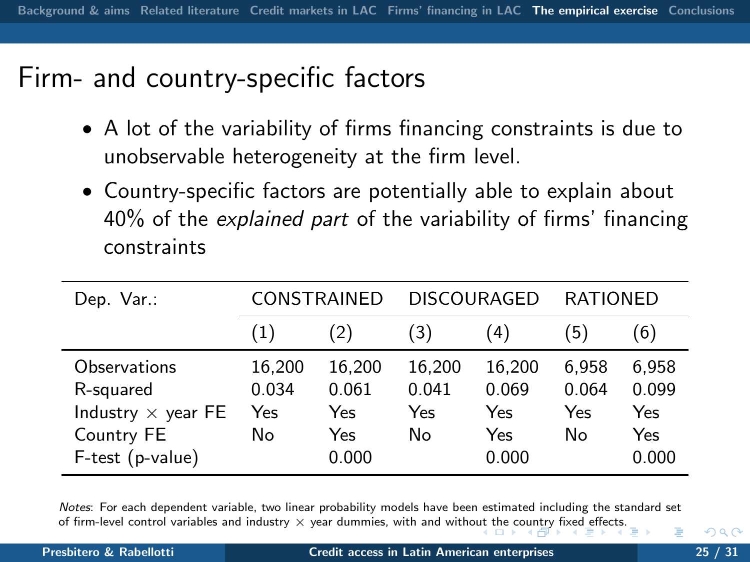### Firm- and country-specific factors

- A lot of the variability of firms financing constraints is due to unobservable heterogeneity at the firm level.
- Country-specific factors are potentially able to explain about 40% of the explained part of the variability of firms' financing constraints

| Dep. $Var:$               | <b>CONSTRAINED</b> |        | <b>DISCOURAGED</b> |        | <b>RATIONED</b> |       |
|---------------------------|--------------------|--------|--------------------|--------|-----------------|-------|
|                           | (1)                | (2)    | (3)                | (4)    | (5              | (6)   |
| Observations              | 16,200             | 16,200 | 16.200             | 16.200 | 6,958           | 6,958 |
| R-squared                 | 0.034              | 0.061  | 0.041              | 0.069  | 0.064           | 0.099 |
| Industry $\times$ year FE | Yes                | Yes    | Yes                | Yes    | Yes             | Yes   |
| Country FE                | No                 | Yes    | No                 | Yes    | No              | Yes   |
| F-test (p-value)          |                    | 0.000  |                    | 0.000  |                 | 0.000 |

<span id="page-24-0"></span>Notes: For each dependent variable, two linear probability models have been estimated including the standard set of [fi](#page-25-0)rm-level control variables an[d](#page-19-0) industry  $\times$  year dummies, with and witho[ut t](#page-23-0)h[e c](#page-25-0)[ou](#page-23-0)[ntry](#page-24-0) fi[xe](#page-18-0)d [eff](#page-28-0)[ec](#page-29-0)[ts](#page-18-0)[.](#page-19-0)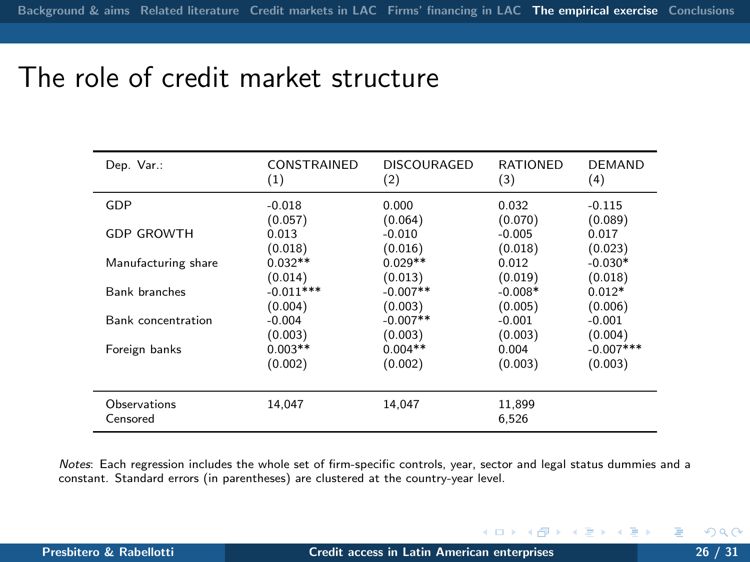### The role of credit market structure

| Dep. Var.:               | CONSTRAINED | DISCOURAGED | <b>RATIONED</b> | DEMAND       |
|--------------------------|-------------|-------------|-----------------|--------------|
|                          | (1)         | (2)         | (3)             | (4)          |
| GDP                      | $-0.018$    | 0.000       | 0.032           | $-0.115$     |
|                          | (0.057)     | (0.064)     | (0.070)         | (0.089)      |
| <b>GDP GROWTH</b>        | 0.013       | $-0.010$    | $-0.005$        | 0.017        |
|                          | (0.018)     | (0.016)     | (0.018)         | (0.023)      |
| Manufacturing share      | $0.032**$   | $0.029**$   | 0.012           | $-0.030*$    |
|                          | (0.014)     | (0.013)     | (0.019)         | (0.018)      |
| Bank branches            | $-0.011***$ | $-0.007**$  | $-0.008*$       | $0.012*$     |
|                          | (0.004)     | (0.003)     | (0.005)         | (0.006)      |
| Bank concentration       | $-0.004$    | $-0.007**$  | $-0.001$        | $-0.001$     |
|                          | (0.003)     | (0.003)     | (0.003)         | (0.004)      |
| Foreign banks            | $0.003**$   | $0.004**$   | 0.004           | $-0.007$ *** |
|                          | (0.002)     | (0.002)     | (0.003)         | (0.003)      |
| Observations<br>Censored | 14.047      | 14.047      | 11,899<br>6,526 |              |

Notes: Each regression includes the whole set of firm-specific controls, year, sector and legal status dummies and a constant. Standard errors (in parentheses) are clustered at the country-year level.

J.

<span id="page-25-0"></span>**∢ ロ ▶ - ← 伊**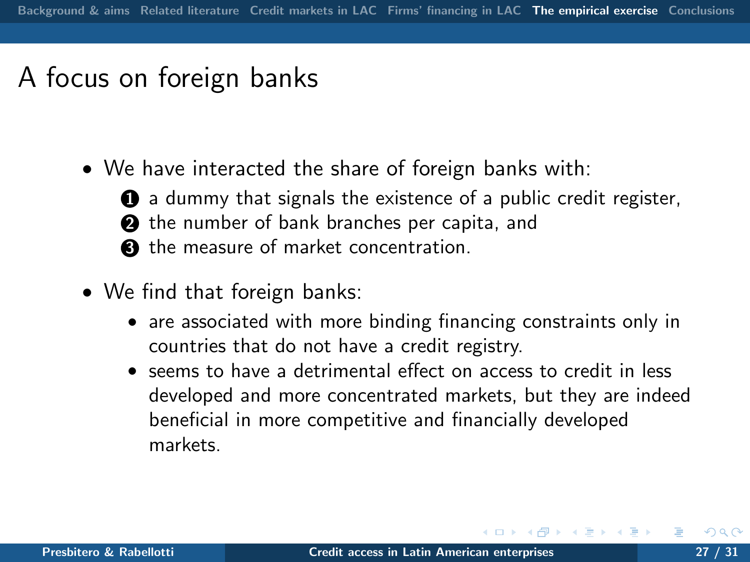# A focus on foreign banks

• We have interacted the share of foreign banks with:



- $\bullet$  a dummy that signals the existence of a public credit register,
- **2** the number of bank branches per capita, and
- <sup>3</sup> the measure of market concentration.
- We find that foreign banks:
	- are associated with more binding financing constraints only in countries that do not have a credit registry.
	- seems to have a detrimental effect on access to credit in less developed and more concentrated markets, but they are indeed beneficial in more competitive and financially developed markets.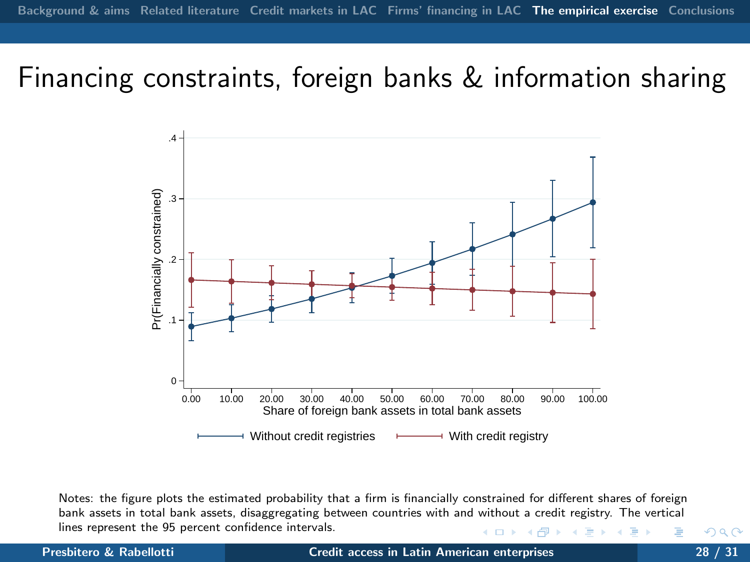### Financing constraints, foreign banks & information sharing



Notes: the figure plots the estimated probability that a firm is financially constrained for different shares of foreign bank assets in total bank assets, disaggregating between countries with and without a credit registry. The vertical lines represent the 95 percent confidence intervals. 4日 ト

Presbitero & Rabellotti **[Credit access in Latin American enterprises](#page-0-0)** 28 / 31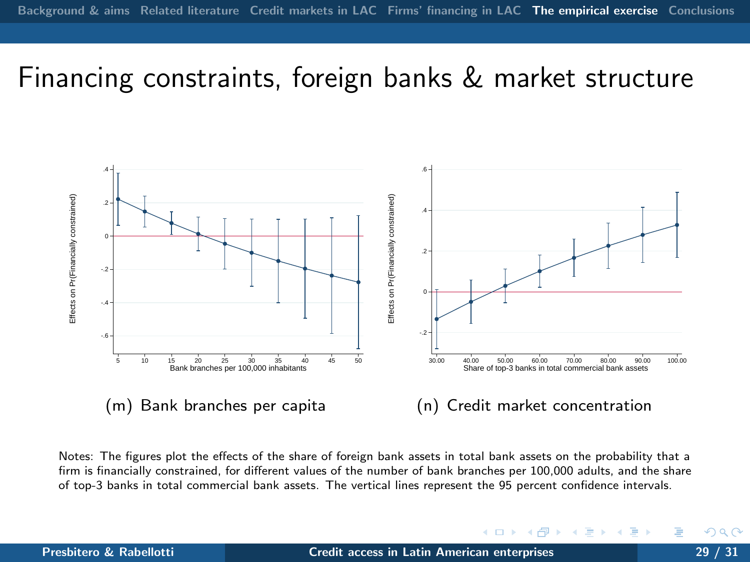### Financing constraints, foreign banks & market structure



Notes: The figures plot the effects of the share of foreign bank assets in total bank assets on the probability that a firm is financially constrained, for different values of the number of bank branches per 100,000 adults, and the share of top-3 banks in total commercial bank assets. The vertical lines represent the 95 percent confidence intervals.

<span id="page-28-0"></span>4日 ト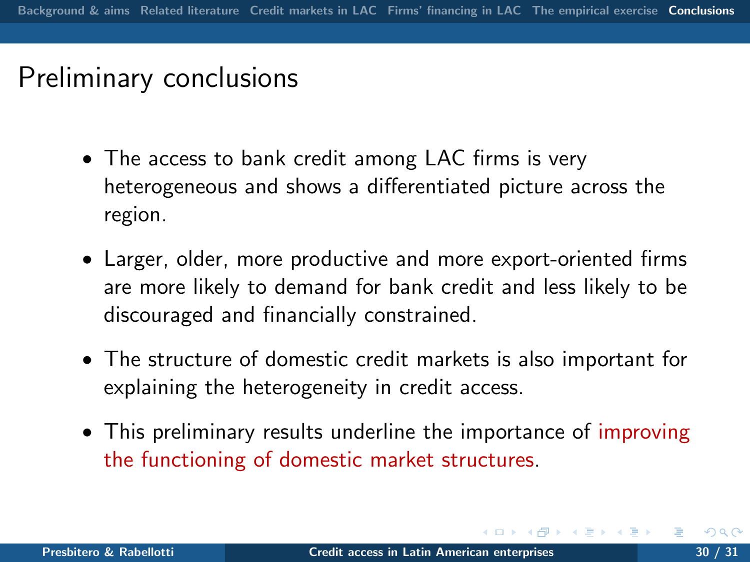## Preliminary conclusions

- The access to bank credit among LAC firms is very heterogeneous and shows a differentiated picture across the region.
- Larger, older, more productive and more export-oriented firms are more likely to demand for bank credit and less likely to be discouraged and financially constrained.
- The structure of domestic credit markets is also important for explaining the heterogeneity in credit access.
- <span id="page-29-0"></span>• This preliminary results underline the importance of improving the functioning of domestic market structures.